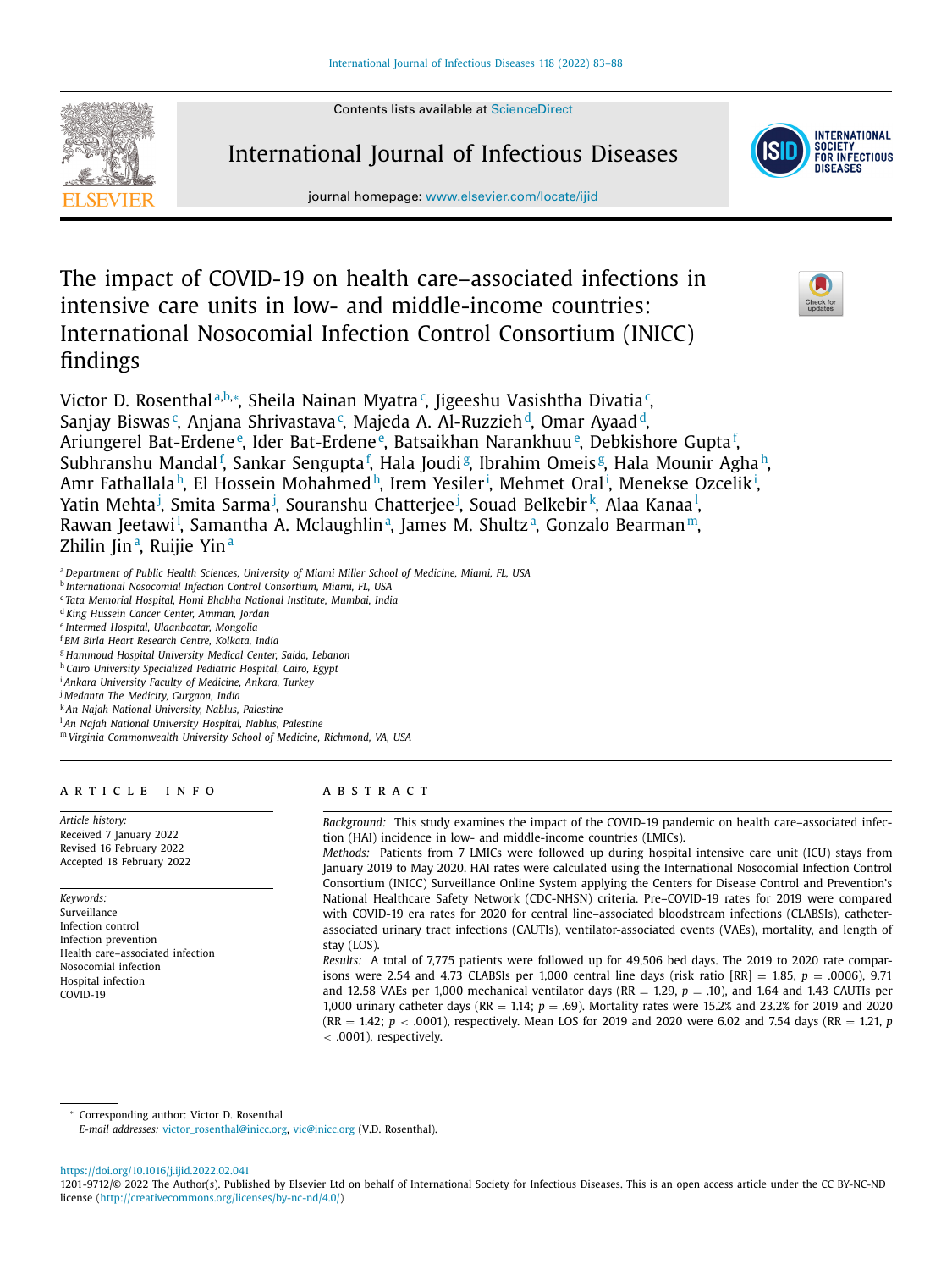Contents lists available at [ScienceDirect](http://www.ScienceDirect.com)



International Journal of Infectious Diseases



journal homepage: [www.elsevier.com/locate/ijid](http://www.elsevier.com/locate/ijid)

The impact of COVID-19 on health care–associated infections in intensive care units in low- and middle-income countries: International Nosocomial Infection Control Consortium (INICC) findings



Victor D. Rosenthalª,b,\*, Sheila Nainan Myatra¢, Jigeeshu Vasishtha Divatia¢, Sanjay Biswas<sup>c</sup>, Anjana Shrivastava<sup>c</sup>, Majeda A. Al-Ruzzieh<sup>d</sup>, Omar Ayaad<sup>d</sup>, Ariungerel Bat-Erdene<sup>e</sup>, Ider Bat-Erdene<sup>e</sup>, Batsaikhan Narankhuu<sup>e</sup>, Debkishore Gupta<sup>f</sup>, Subhranshu Mandal<sup>f</sup>, Sankar Sengupta<sup>f</sup>, Hala Joudi<sup>g</sup>, Ibrahim Omeis<sup>g</sup>, Hala Mounir Agha<sup>h</sup>, Amr Fathallala<sup>h</sup>, El Hossein Mohahmed<sup>h</sup>, Irem Yesiler<sup>i</sup>, Mehmet Oral<sup>i</sup>, Menekse Ozcelik<sup>i</sup>, Yatin Mehta<sup>j</sup>, Smita Sarma<sup>j</sup>, Souranshu Chatterjee<sup>j</sup>, Souad Belkebir<sup>k</sup>, Alaa Kanaa<sup>l</sup>, Rawan Jeetawi<sup>l</sup>, Samantha A. Mclaughlin<u>a, James M. Shultza, Gonzalo Bearman<sup>m</sup>,</u> Zhilin Jinª, Ruijie Yinª

- <sup>a</sup> *Department of Public Health Sciences, University of Miami Miller School of Medicine, Miami, FL, USA*
- <sup>b</sup> *International Nosocomial Infection Control Consortium, Miami, FL, USA*
- <sup>c</sup> *Tata Memorial Hospital, Homi Bhabha National Institute, Mumbai, India*
- <sup>d</sup> *King Hussein Cancer Center, Amman, Jordan*
- <sup>e</sup> *Intermed Hospital, Ulaanbaatar, Mongolia*
- <sup>f</sup> *BM Birla Heart Research Centre, Kolkata, India*
- <sup>g</sup> *Hammoud Hospital University Medical Center, Saida, Lebanon*
- <sup>h</sup> *Cairo University Specialized Pediatric Hospital, Cairo, Egypt*
- <sup>i</sup> *Ankara University Faculty of Medicine, Ankara, Turkey*
- <sup>j</sup> *Medanta The Medicity, Gurgaon, India*
- <sup>k</sup> *An Najah National University, Nablus, Palestine*
- <sup>l</sup> *An Najah National University Hospital, Nablus, Palestine*
- <sup>m</sup> *Virginia Commonwealth University School of Medicine, Richmond, VA, USA*

## a r t i c l e i n f o

*Article history:* Received 7 January 2022 Revised 16 February 2022 Accepted 18 February 2022

*Keywords:* Surveillance Infection control Infection prevention Health care–associated infection Nosocomial infection Hospital infection COVID-19

# a b s t r a c t

*Background:* This study examines the impact of the COVID-19 pandemic on health care–associated infection (HAI) incidence in low- and middle-income countries (LMICs).

*Methods:* Patients from 7 LMICs were followed up during hospital intensive care unit (ICU) stays from January 2019 to May 2020. HAI rates were calculated using the International Nosocomial Infection Control Consortium (INICC) Surveillance Online System applying the Centers for Disease Control and Prevention's National Healthcare Safety Network (CDC-NHSN) criteria. Pre–COVID-19 rates for 2019 were compared with COVID-19 era rates for 2020 for central line–associated bloodstream infections (CLABSIs), catheterassociated urinary tract infections (CAUTIs), ventilator-associated events (VAEs), mortality, and length of stay (LOS).

*Results:* A total of 7,775 patients were followed up for 49,506 bed days. The 2019 to 2020 rate comparisons were 2.54 and 4.73 CLABSIs per 1,000 central line days (risk ratio [RR] = 1.85, *p* = .0006), 9.71 and 12.58 VAEs per 1,000 mechanical ventilator days (RR  $=$  1.29,  $p = .10$ ), and 1.64 and 1.43 CAUTIs per 1,000 urinary catheter days (RR = 1.14; *p* = .69). Mortality rates were 15.2% and 23.2% for 2019 and 2020  $(RR = 1.42; p < .0001)$ , respectively. Mean LOS for 2019 and 2020 were 6.02 and 7.54 days  $(RR = 1.21, p$ < .0001), respectively.

<sup>∗</sup> Corresponding author: Victor D. Rosenthal

*E-mail addresses:* [victor\\_rosenthal@inicc.org,](mailto:victor_rosenthal@inicc.orgvic@inicc.org) [vic@inicc.org](mailto:vic@inicc.org) (V.D. Rosenthal).

<https://doi.org/10.1016/j.ijid.2022.02.041>

<sup>1201-9712/© 2022</sup> The Author(s). Published by Elsevier Ltd on behalf of International Society for Infectious Diseases. This is an open access article under the CC BY-NC-ND license [\(http://creativecommons.org/licenses/by-nc-nd/4.0/\)](http://creativecommons.org/licenses/by-nc-nd/4.0/)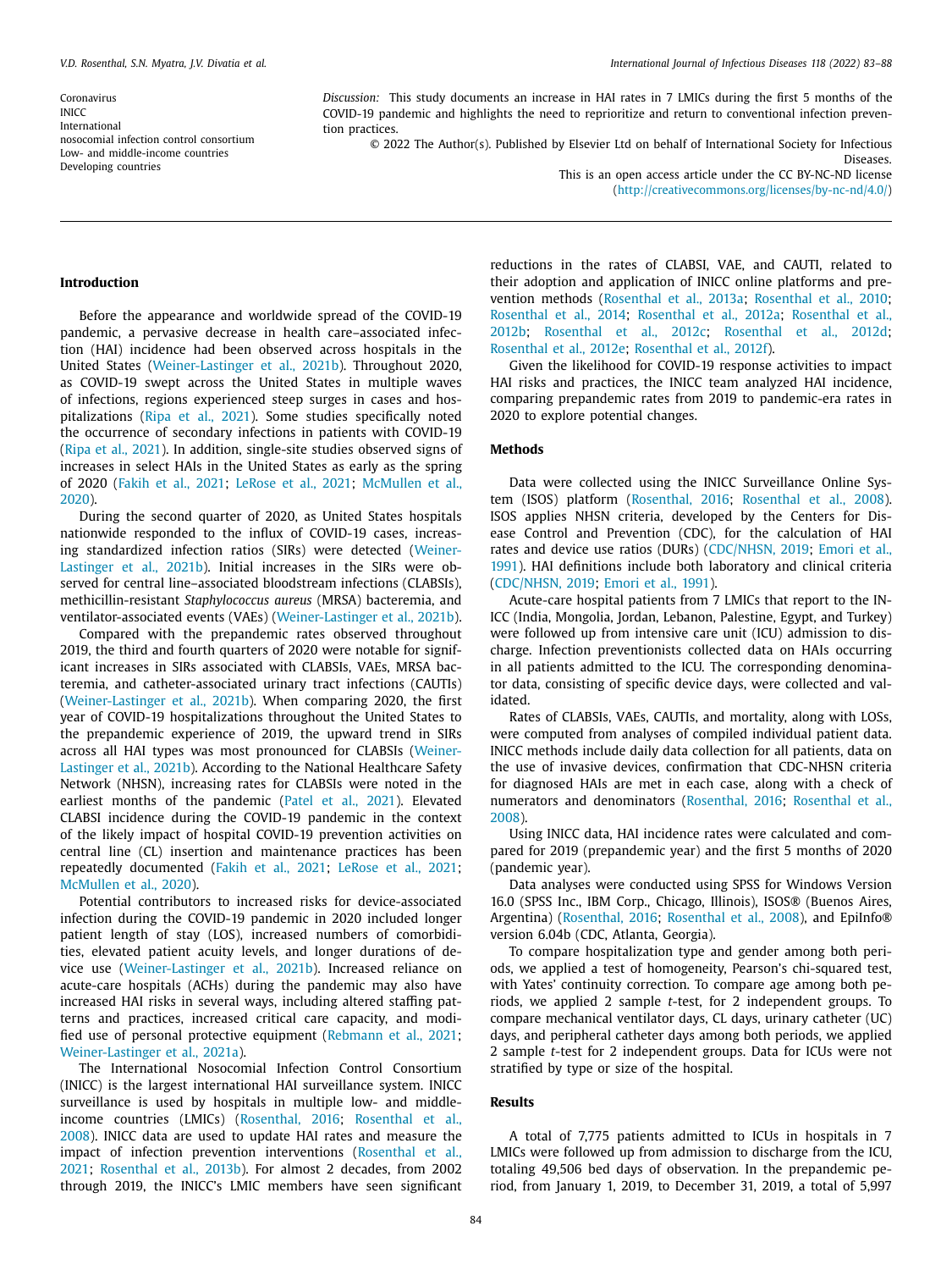Coronavirus **INICC** International nosocomial infection control consortium Low- and middle-income countries Developing countries

*Discussion:* This study documents an increase in HAI rates in 7 LMICs during the first 5 months of the COVID-19 pandemic and highlights the need to reprioritize and return to conventional infection prevention practices.

© 2022 The Author(s). Published by Elsevier Ltd on behalf of International Society for Infectious Diseases.

> This is an open access article under the CC BY-NC-ND license [\(http://creativecommons.org/licenses/by-nc-nd/4.0/\)](http://creativecommons.org/licenses/by-nc-nd/4.0/)

#### **Introduction**

Before the appearance and worldwide spread of the COVID-19 pandemic, a pervasive decrease in health care–associated infection (HAI) incidence had been observed across hospitals in the United States [\(Weiner-Lastinger](#page-5-0) et al., 2021b). Throughout 2020, as COVID-19 swept across the United States in multiple waves of infections, regions experienced steep surges in cases and hospitalizations (Ripa et al., [2021\)](#page-4-0). Some studies specifically noted the occurrence of secondary infections in patients with COVID-19 (Ripa et al., [2021\)](#page-4-0). In addition, single-site studies observed signs of increases in select HAIs in the United States as early as the spring of 2020 [\(Fakih](#page-4-0) et al., 2021; [LeRose](#page-4-0) et al., 2021; [McMullen](#page-4-0) et al., 2020).

During the second quarter of 2020, as United States hospitals nationwide responded to the influx of COVID-19 cases, increasing [standardized](#page-5-0) infection ratios (SIRs) were detected (Weiner-Lastinger et al., 2021b). Initial increases in the SIRs were observed for central line–associated bloodstream infections (CLABSIs), methicillin-resistant *Staphylococcus aureus* (MRSA) bacteremia, and ventilator-associated events (VAEs) [\(Weiner-Lastinger](#page-5-0) et al., 2021b).

Compared with the prepandemic rates observed throughout 2019, the third and fourth quarters of 2020 were notable for significant increases in SIRs associated with CLABSIs, VAEs, MRSA bacteremia, and catheter-associated urinary tract infections (CAUTIs) [\(Weiner-Lastinger](#page-5-0) et al., 2021b). When comparing 2020, the first year of COVID-19 hospitalizations throughout the United States to the prepandemic experience of 2019, the upward trend in SIRs across all HAI types was most [pronounced](#page-5-0) for CLABSIs (Weiner-Lastinger et al., 2021b). According to the National Healthcare Safety Network (NHSN), increasing rates for CLABSIs were noted in the earliest months of the pandemic (Patel et al., [2021\)](#page-4-0). Elevated CLABSI incidence during the COVID-19 pandemic in the context of the likely impact of hospital COVID-19 prevention activities on central line (CL) insertion and maintenance practices has been repeatedly documented [\(Fakih](#page-4-0) et al., 2021; [LeRose](#page-4-0) et al., 2021; [McMullen](#page-4-0) et al., 2020).

Potential contributors to increased risks for device-associated infection during the COVID-19 pandemic in 2020 included longer patient length of stay (LOS), increased numbers of comorbidities, elevated patient acuity levels, and longer durations of device use [\(Weiner-Lastinger](#page-5-0) et al., 2021b). Increased reliance on acute-care hospitals (ACHs) during the pandemic may also have increased HAI risks in several ways, including altered staffing patterns and practices, increased critical care capacity, and modified use of personal protective equipment [\(Rebmann](#page-4-0) et al., 2021; [Weiner-Lastinger](#page-5-0) et al., 2021a).

The International Nosocomial Infection Control Consortium (INICC) is the largest international HAI surveillance system. INICC surveillance is used by hospitals in multiple low- and middleincome countries (LMICs) [\(Rosenthal,](#page-4-0) 2016; Rosenthal et al., 2008). INICC data are used to update HAI rates and measure the impact of infection prevention [interventions](#page-4-0) (Rosenthal et al., 2021; [Rosenthal](#page-4-0) et al., 2013b). For almost 2 decades, from 2002 through 2019, the INICC's LMIC members have seen significant reductions in the rates of CLABSI, VAE, and CAUTI, related to their adoption and application of INICC online platforms and prevention methods [\(Rosenthal](#page-4-0) et al., 2013a; [Rosenthal](#page-4-0) et al., 2010; [Rosenthal](#page-4-0) et al., 2014; [Rosenthal](#page-4-0) et al., 2012a; [Rosenthal](#page-4-0) et al., 2012b; [Rosenthal](#page-5-0) et al., 2012c; [Rosenthal](#page-5-0) et al., 2012d; [Rosenthal](#page-5-0) et al., 2012e; [Rosenthal](#page-5-0) et al., 2012f).

Given the likelihood for COVID-19 response activities to impact HAI risks and practices, the INICC team analyzed HAI incidence, comparing prepandemic rates from 2019 to pandemic-era rates in 2020 to explore potential changes.

# **Methods**

Data were collected using the INICC Surveillance Online System (ISOS) platform [\(Rosenthal,](#page-4-0) 2016; [Rosenthal](#page-4-0) et al., 2008). ISOS applies NHSN criteria, developed by the Centers for Disease Control and Prevention (CDC), for the calculation of HAI rates and device use ratios (DURs) [\(CDC/NHSN,](#page-4-0) 2019; Emori et al., 1991). HAI definitions include both laboratory and clinical criteria [\(CDC/NHSN,](#page-4-0) 2019; [Emori](#page-4-0) et al., 1991).

Acute-care hospital patients from 7 LMICs that report to the IN-ICC (India, Mongolia, Jordan, Lebanon, Palestine, Egypt, and Turkey) were followed up from intensive care unit (ICU) admission to discharge. Infection preventionists collected data on HAIs occurring in all patients admitted to the ICU. The corresponding denominator data, consisting of specific device days, were collected and validated.

Rates of CLABSIs, VAEs, CAUTIs, and mortality, along with LOSs, were computed from analyses of compiled individual patient data. INICC methods include daily data collection for all patients, data on the use of invasive devices, confirmation that CDC-NHSN criteria for diagnosed HAIs are met in each case, along with a check of numerators and [denominators](#page-4-0) [\(Rosenthal,](#page-4-0) 2016; Rosenthal et al., 2008).

Using INICC data, HAI incidence rates were calculated and compared for 2019 (prepandemic year) and the first 5 months of 2020 (pandemic year).

Data analyses were conducted using SPSS for Windows Version 16.0 (SPSS Inc., IBM Corp., Chicago, Illinois), ISOS® (Buenos Aires, Argentina) [\(Rosenthal,](#page-4-0) 2016; [Rosenthal](#page-4-0) et al., 2008), and EpiInfo® version 6.04b (CDC, Atlanta, Georgia).

To compare hospitalization type and gender among both periods, we applied a test of homogeneity, Pearson's chi-squared test, with Yates' continuity correction. To compare age among both periods, we applied 2 sample *t*-test, for 2 independent groups. To compare mechanical ventilator days, CL days, urinary catheter (UC) days, and peripheral catheter days among both periods, we applied 2 sample *t*-test for 2 independent groups. Data for ICUs were not stratified by type or size of the hospital.

## **Results**

A total of 7,775 patients admitted to ICUs in hospitals in 7 LMICs were followed up from admission to discharge from the ICU, totaling 49,506 bed days of observation. In the prepandemic period, from January 1, 2019, to December 31, 2019, a total of 5,997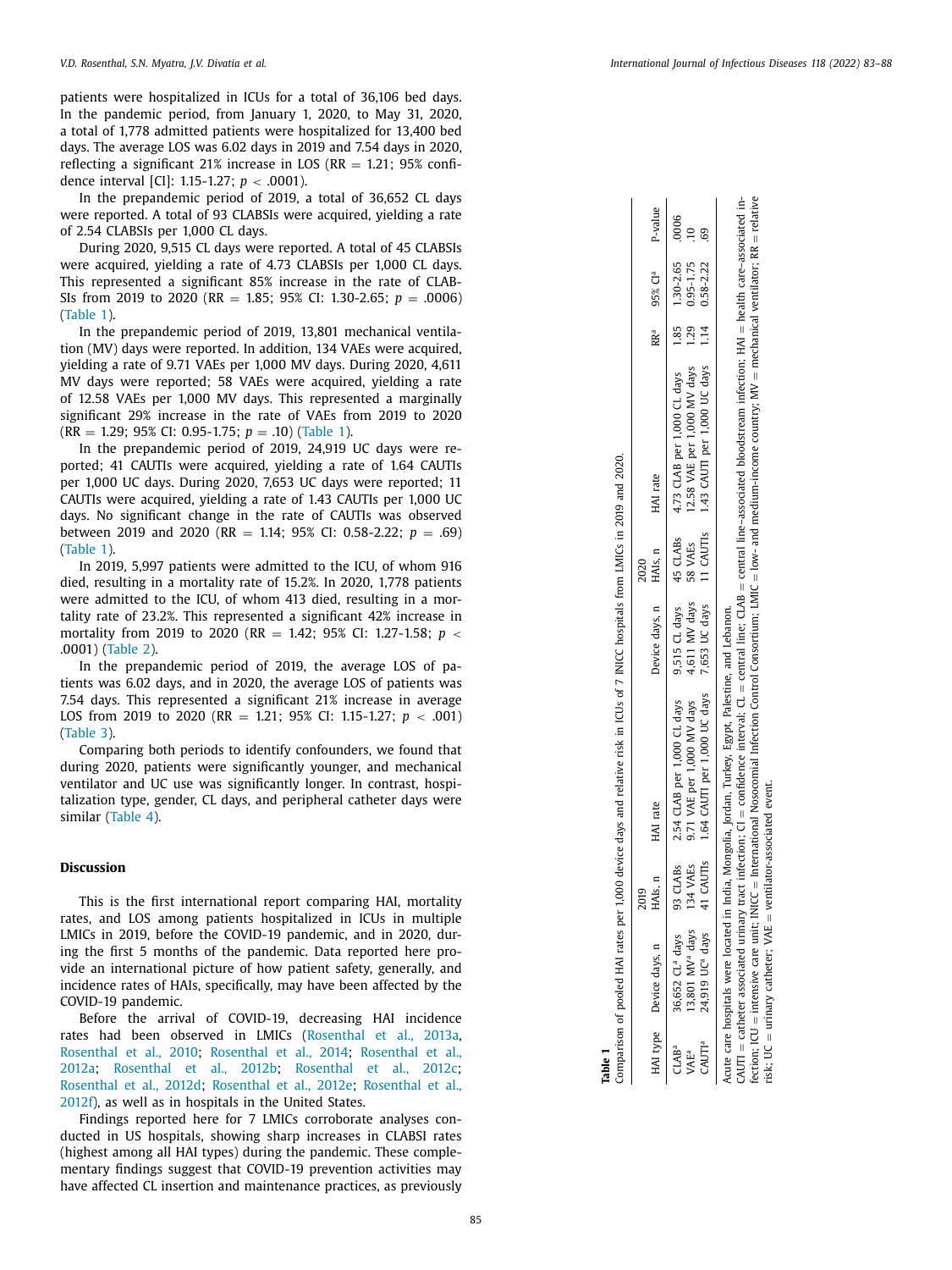patients were hospitalized in ICUs for a total of 36,106 bed days. In the pandemic period, from January 1, 2020, to May 31, 2020, a total of 1,778 admitted patients were hospitalized for 13,400 bed days. The average LOS was 6.02 days in 2019 and 7.54 days in 2020, reflecting a significant 21% increase in LOS ( $RR = 1.21$ ; 95% confidence interval [CI]: 1.15-1.27; *p* < .0001).

In the prepandemic period of 2019, a total of 36,652 CL days were reported. A total of 93 CLABSIs were acquired, yielding a rate of 2.54 CLABSIs per 1,000 CL days.

During 2020, 9,515 CL days were reported. A total of 45 CLABSIs were acquired, yielding a rate of 4.73 CLABSIs per 1,000 CL days. This represented a significant 85% increase in the rate of CLAB-SIs from 2019 to 2020 (RR = 1.85; 95% CI: 1.30-2.65; *p* = .0006) (Table 1).

In the prepandemic period of 2019, 13,801 mechanical ventilation (MV) days were reported. In addition, 134 VAEs were acquired, yielding a rate of 9.71 VAEs per 1,000 MV days. During 2020, 4,611 MV days were reported; 58 VAEs were acquired, yielding a rate of 12.58 VAEs per 1,000 MV days. This represented a marginally significant 29% increase in the rate of VAEs from 2019 to 2020 (RR = 1.29; 95% CI: 0.95-1.75; *p* = .10) (Table 1).

In the prepandemic period of 2019, 24,919 UC days were reported; 41 CAUTIs were acquired, yielding a rate of 1.64 CAUTIs per 1,000 UC days. During 2020, 7,653 UC days were reported; 11 CAUTIs were acquired, yielding a rate of 1.43 CAUTIs per 1,000 UC days. No significant change in the rate of CAUTIs was observed between 2019 and 2020 (RR = 1.14; 95% CI: 0.58-2.22; *p* = .69) (Table 1).

In 2019, 5,997 patients were admitted to the ICU, of whom 916 died, resulting in a mortality rate of 15.2%. In 2020, 1,778 patients were admitted to the ICU, of whom 413 died, resulting in a mortality rate of 23.2%. This represented a significant 42% increase in mortality from 2019 to 2020 (RR = 1.42; 95% CI: 1.27-1.58; *p* < .0001) [\(Table](#page-3-0) 2).

In the prepandemic period of 2019, the average LOS of patients was 6.02 days, and in 2020, the average LOS of patients was 7.54 days. This represented a significant 21% increase in average LOS from 2019 to 2020 (RR = 1.21; 95% CI: 1.15-1.27; *p* < .001) [\(Table](#page-3-0) 3).

Comparing both periods to identify confounders, we found that during 2020, patients were significantly younger, and mechanical ventilator and UC use was significantly longer. In contrast, hospitalization type, gender, CL days, and peripheral catheter days were similar [\(Table](#page-3-0) 4).

### **Discussion**

This is the first international report comparing HAI, mortality rates, and LOS among patients hospitalized in ICUs in multiple LMICs in 2019, before the COVID-19 pandemic, and in 2020, during the first 5 months of the pandemic. Data reported here provide an international picture of how patient safety, generally, and incidence rates of HAIs, specifically, may have been affected by the COVID-19 pandemic.

Before the arrival of COVID-19, decreasing HAI incidence rates had been observed in LMICs [\(Rosenthal](#page-4-0) et al., 2013a, [Rosenthal](#page-4-0) et al., 2010; [Rosenthal](#page-4-0) et al., 2014; Rosenthal et al., 2012a; [Rosenthal](#page-4-0) et al., 2012b; [Rosenthal](#page-5-0) et al., 2012c; [Rosenthal](#page-5-0) et al., 2012d; [Rosenthal](#page-5-0) et al., 2012e; Rosenthal et al., 2012f), as well as in hospitals in the United States.

Findings reported here for 7 LMICs corroborate analyses conducted in US hospitals, showing sharp increases in CLABSI rates (highest among all HAI types) during the pandemic. These complementary findings suggest that COVID-19 prevention activities may have affected CL insertion and maintenance practices, as previously

| Table 1                                                    |                                                                                           |                      | Comparison of pooled HAI rates per 1,000 device days and relative risk in ICUs of 7 INICC hospitals from LMICs in 2019 and 2020.                                                                                                                                                                                                                                                                                                                                                            |                                                   |                     |                                                                                                                                    |                                     |           |
|------------------------------------------------------------|-------------------------------------------------------------------------------------------|----------------------|---------------------------------------------------------------------------------------------------------------------------------------------------------------------------------------------------------------------------------------------------------------------------------------------------------------------------------------------------------------------------------------------------------------------------------------------------------------------------------------------|---------------------------------------------------|---------------------|------------------------------------------------------------------------------------------------------------------------------------|-------------------------------------|-----------|
|                                                            | HAI type Device days, n                                                                   | HAIs, n<br>2019      | HAI rate                                                                                                                                                                                                                                                                                                                                                                                                                                                                                    | Device days, n HAIs, n                            | 2020                | HAI rate                                                                                                                           | RR <sup>a</sup> 95% Cl <sup>a</sup> | P-value   |
| CAUTI <sup>a</sup><br>IAB <sup>a</sup><br>VAE <sup>a</sup> | 13,801 MV <sup>a</sup> days<br>24,919 UC <sup>a</sup> days<br>36,652 CL <sup>a</sup> days | 93 CLABS<br>134 VAEs | 41 CAUTIS 1.64 CAUTI per 1,000 UC days<br>9.71 VAE per 1,000 MV days<br>2.54 CLAB per 1,000 CL days                                                                                                                                                                                                                                                                                                                                                                                         | 7,653 UC days<br>$9,515$ CL days<br>4,611 MV days | 45 CLABs<br>58 VAEs | 4.73 CLAB per 1,000 CL days 1.85 1.30-2.65<br>11 CAUTIS 1.43 CAUTI per 1,000 UC days 1.14 0.58-2.22<br>12.58 VAE per 1,000 MV days | 1.29 0.95-1.75                      | 000<br>G9 |
|                                                            | Acute care hospitals were located in<br>risk; $UC =$ urinary catheter; $VAE =$            |                      | fection; ICU = intensive care unit; INICC = International Mosocomial Infection Control Consortium; LMIC = low- and medium-income country; MV = mechanical ventilator; RR = relative<br>$\alpha$ UTI = catheter associated urinary tract infection; CI = confidence interval; CL = central line; CLAB = central line-associated bloodstream infection; HAI = health care-associated in-<br>ı India, Mongolia, Jordan, Turkey, Egypt, Palestine, and Lebanon.<br>ventilator-associated event. |                                                   |                     |                                                                                                                                    |                                     |           |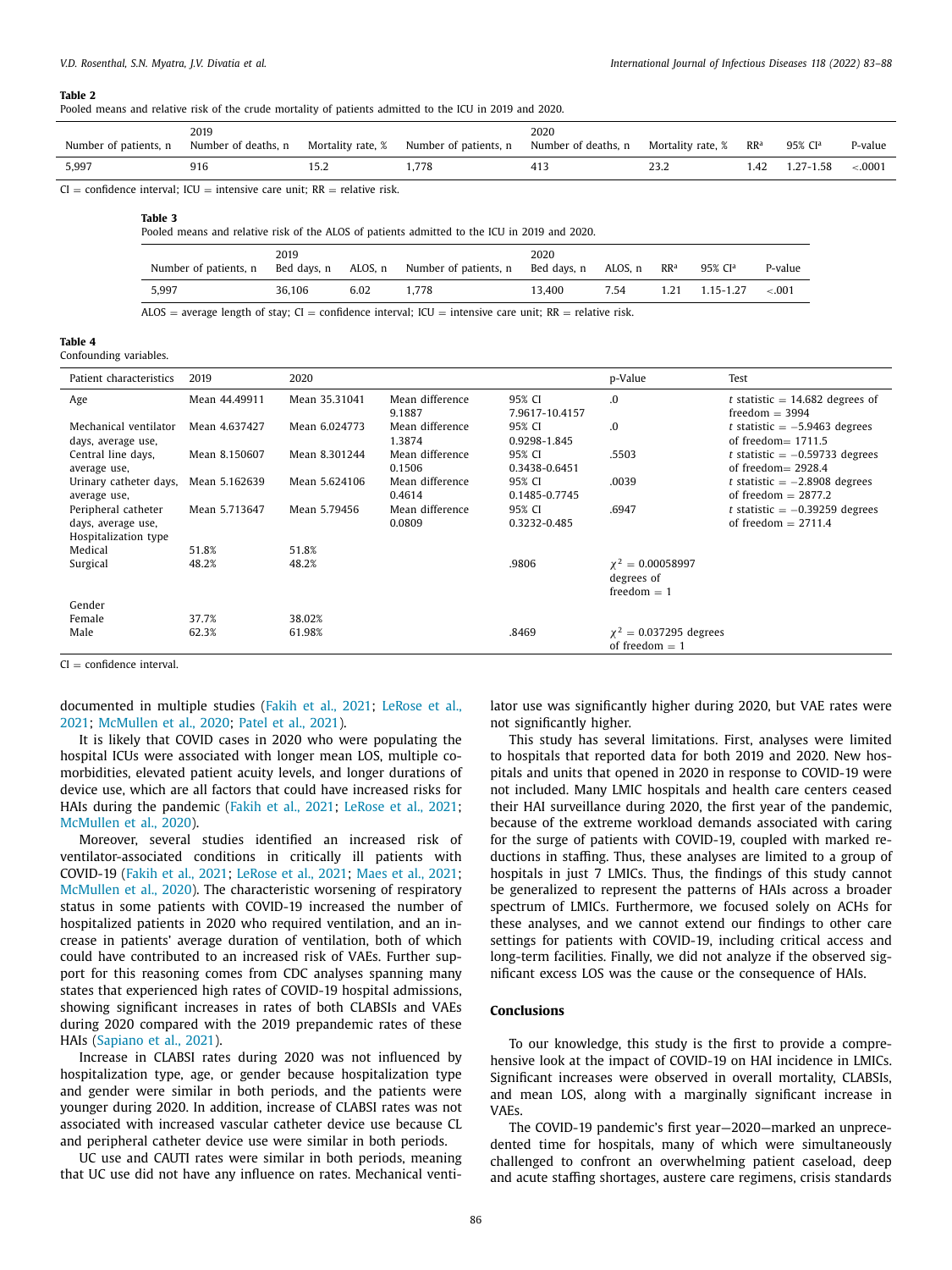#### <span id="page-3-0"></span>**Table 2**

| Pooled means and relative risk of the crude mortality of patients admitted to the ICU in 2019 and 2020. |  |  |  |  |  |  |  |  |  |
|---------------------------------------------------------------------------------------------------------|--|--|--|--|--|--|--|--|--|
|---------------------------------------------------------------------------------------------------------|--|--|--|--|--|--|--|--|--|

| Number of patients, n                                                      | 2019<br>Number of deaths, n | Mortality rate, % | Number of patients, n | 2020<br>Number of deaths, n | Mortality rate, % | RR <sup>a</sup> | 95% CI <sup>a</sup> | P-value  |
|----------------------------------------------------------------------------|-----------------------------|-------------------|-----------------------|-----------------------------|-------------------|-----------------|---------------------|----------|
| 5.997                                                                      | 916                         |                   | 1.778                 |                             | 23.2              | 1.42            | 1.27-1.58           | $-.0001$ |
| $CI =$ confidence interval; ICU = intensive care unit; RR = relative risk. |                             |                   |                       |                             |                   |                 |                     |          |

#### **Table 3**

Pooled means and relative risk of the ALOS of patients admitted to the ICU in 2019 and 2020.

| Number of patients, n | 2019   |      | Bed days, n  ALOS, n  Number of patients, n  Bed days, n  ALOS, n | 2020   |      | $\mathsf{RR}^\mathsf{a}$ | 95% CI <sup>a</sup> | P-value |
|-----------------------|--------|------|-------------------------------------------------------------------|--------|------|--------------------------|---------------------|---------|
| 5.997                 | 36.106 | 6.02 | 1.778                                                             | 13.400 | 7.54 | 1.21                     | 1.15-1.27           | $-.001$ |
| .<br>.                |        |      | .                                                                 | .      |      |                          |                     |         |

ALOS = average length of stay; CI = confidence interval; ICU = intensive care unit; RR = relative risk.

| ш<br>., |
|---------|
|---------|

Confounding variables.

| Patient characteristics                                           | 2019          | 2020          |                           |                          | p-Value                                              | Test                                                      |
|-------------------------------------------------------------------|---------------|---------------|---------------------------|--------------------------|------------------------------------------------------|-----------------------------------------------------------|
| Age                                                               | Mean 44.49911 | Mean 35.31041 | Mean difference<br>9.1887 | 95% CI<br>7.9617-10.4157 | .0                                                   | t statistic = $14,682$ degrees of<br>freedom $=$ 3994     |
| Mechanical ventilator<br>days, average use,                       | Mean 4.637427 | Mean 6.024773 | Mean difference<br>1.3874 | 95% CI<br>0.9298-1.845   | .0                                                   | t statistic $= -5.9463$ degrees<br>of freedom $= 1711.5$  |
| Central line days,<br>average use,                                | Mean 8.150607 | Mean 8.301244 | Mean difference<br>0.1506 | 95% CI<br>0.3438-0.6451  | .5503                                                | t statistic $= -0.59733$ degrees<br>of freedom $= 2928.4$ |
| Urinary catheter days,<br>average use,                            | Mean 5.162639 | Mean 5.624106 | Mean difference<br>0.4614 | 95% CI<br>0.1485-0.7745  | .0039                                                | t statistic $= -2.8908$ degrees<br>of freedom $= 2877.2$  |
| Peripheral catheter<br>days, average use,<br>Hospitalization type | Mean 5.713647 | Mean 5.79456  | Mean difference<br>0.0809 | 95% CI<br>0.3232-0.485   | .6947                                                | t statistic $= -0.39259$ degrees<br>of freedom $= 2711.4$ |
| Medical                                                           | 51.8%         | 51.8%         |                           |                          |                                                      |                                                           |
| Surgical                                                          | 48.2%         | 48.2%         |                           | .9806                    | $\chi^2 = 0.00058997$<br>degrees of<br>freedom $= 1$ |                                                           |
| Gender                                                            |               |               |                           |                          |                                                      |                                                           |
| Female                                                            | 37.7%         | 38.02%        |                           |                          |                                                      |                                                           |
| Male                                                              | 62.3%         | 61.98%        |                           | .8469                    | $\chi^2 = 0.037295$ degrees<br>of freedom $= 1$      |                                                           |

 $CI = confidence$  interval.

[documented](#page-4-0) in multiple studies [\(Fakih](#page-4-0) et al., 2021; LeRose et al., 2021; [McMullen](#page-4-0) et al., 2020; Patel et al., [2021\)](#page-4-0).

It is likely that COVID cases in 2020 who were populating the hospital ICUs were associated with longer mean LOS, multiple comorbidities, elevated patient acuity levels, and longer durations of device use, which are all factors that could have increased risks for HAIs during the pandemic [\(Fakih](#page-4-0) et al., 2021; [LeRose](#page-4-0) et al., 2021; [McMullen](#page-4-0) et al., 2020).

Moreover, several studies identified an increased risk of ventilator-associated conditions in critically ill patients with COVID-19 [\(Fakih](#page-4-0) et al., 2021; [LeRose](#page-4-0) et al., 2021; [Maes](#page-4-0) et al., 2021; [McMullen](#page-4-0) et al., 2020). The characteristic worsening of respiratory status in some patients with COVID-19 increased the number of hospitalized patients in 2020 who required ventilation, and an increase in patients' average duration of ventilation, both of which could have contributed to an increased risk of VAEs. Further support for this reasoning comes from CDC analyses spanning many states that experienced high rates of COVID-19 hospital admissions, showing significant increases in rates of both CLABSIs and VAEs during 2020 compared with the 2019 prepandemic rates of these HAIs [\(Sapiano](#page-5-0) et al., 2021).

Increase in CLABSI rates during 2020 was not influenced by hospitalization type, age, or gender because hospitalization type and gender were similar in both periods, and the patients were younger during 2020. In addition, increase of CLABSI rates was not associated with increased vascular catheter device use because CL and peripheral catheter device use were similar in both periods.

UC use and CAUTI rates were similar in both periods, meaning that UC use did not have any influence on rates. Mechanical venti-

lator use was significantly higher during 2020, but VAE rates were not significantly higher.

This study has several limitations. First, analyses were limited to hospitals that reported data for both 2019 and 2020. New hospitals and units that opened in 2020 in response to COVID-19 were not included. Many LMIC hospitals and health care centers ceased their HAI surveillance during 2020, the first year of the pandemic, because of the extreme workload demands associated with caring for the surge of patients with COVID-19, coupled with marked reductions in staffing. Thus, these analyses are limited to a group of hospitals in just 7 LMICs. Thus, the findings of this study cannot be generalized to represent the patterns of HAIs across a broader spectrum of LMICs. Furthermore, we focused solely on ACHs for these analyses, and we cannot extend our findings to other care settings for patients with COVID-19, including critical access and long-term facilities. Finally, we did not analyze if the observed significant excess LOS was the cause or the consequence of HAIs.

### **Conclusions**

To our knowledge, this study is the first to provide a comprehensive look at the impact of COVID-19 on HAI incidence in LMICs. Significant increases were observed in overall mortality, CLABSIs, and mean LOS, along with a marginally significant increase in VAEs.

The COVID-19 pandemic's first year—2020—marked an unprecedented time for hospitals, many of which were simultaneously challenged to confront an overwhelming patient caseload, deep and acute staffing shortages, austere care regimens, crisis standards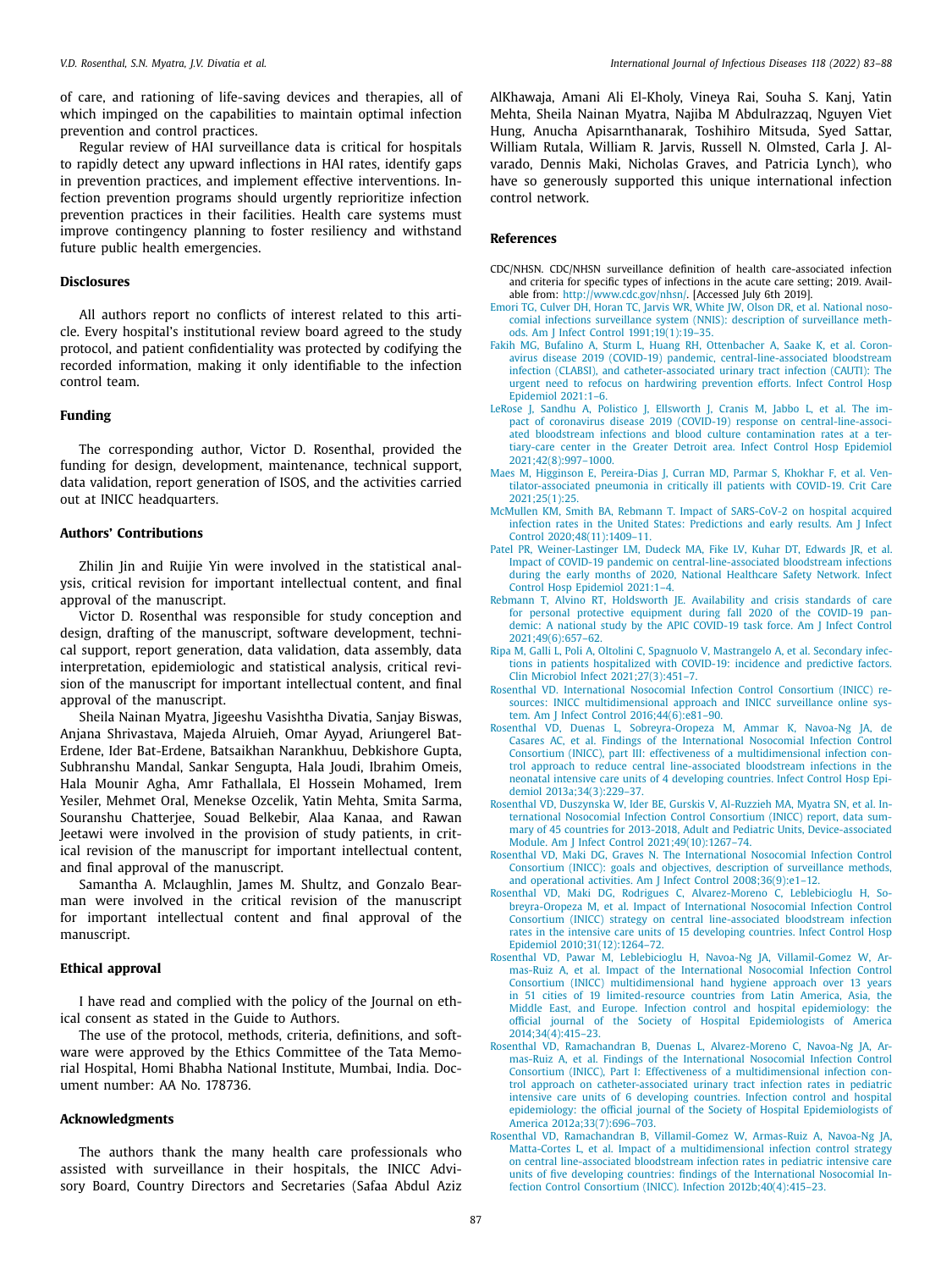<span id="page-4-0"></span>of care, and rationing of life-saving devices and therapies, all of which impinged on the capabilities to maintain optimal infection prevention and control practices.

Regular review of HAI surveillance data is critical for hospitals to rapidly detect any upward inflections in HAI rates, identify gaps in prevention practices, and implement effective interventions. Infection prevention programs should urgently reprioritize infection prevention practices in their facilities. Health care systems must improve contingency planning to foster resiliency and withstand future public health emergencies.

#### **Disclosures**

All authors report no conflicts of interest related to this article. Every hospital's institutional review board agreed to the study protocol, and patient confidentiality was protected by codifying the recorded information, making it only identifiable to the infection control team.

## **Funding**

The corresponding author, Victor D. Rosenthal, provided the funding for design, development, maintenance, technical support, data validation, report generation of ISOS, and the activities carried out at INICC headquarters.

## **Authors' Contributions**

Zhilin Jin and Ruijie Yin were involved in the statistical analysis, critical revision for important intellectual content, and final approval of the manuscript.

Victor D. Rosenthal was responsible for study conception and design, drafting of the manuscript, software development, technical support, report generation, data validation, data assembly, data interpretation, epidemiologic and statistical analysis, critical revision of the manuscript for important intellectual content, and final approval of the manuscript.

Sheila Nainan Myatra, Jigeeshu Vasishtha Divatia, Sanjay Biswas, Anjana Shrivastava, Majeda Alruieh, Omar Ayyad, Ariungerel Bat-Erdene, Ider Bat-Erdene, Batsaikhan Narankhuu, Debkishore Gupta, Subhranshu Mandal, Sankar Sengupta, Hala Joudi, Ibrahim Omeis, Hala Mounir Agha, Amr Fathallala, El Hossein Mohamed, Irem Yesiler, Mehmet Oral, Menekse Ozcelik, Yatin Mehta, Smita Sarma, Souranshu Chatterjee, Souad Belkebir, Alaa Kanaa, and Rawan Jeetawi were involved in the provision of study patients, in critical revision of the manuscript for important intellectual content, and final approval of the manuscript.

Samantha A. Mclaughlin, James M. Shultz, and Gonzalo Bearman were involved in the critical revision of the manuscript for important intellectual content and final approval of the manuscript.

#### **Ethical approval**

I have read and complied with the policy of the Journal on ethical consent as stated in the Guide to Authors.

The use of the protocol, methods, criteria, definitions, and software were approved by the Ethics Committee of the Tata Memorial Hospital, Homi Bhabha National Institute, Mumbai, India. Document number: AA No. 178736.

## **Acknowledgments**

The authors thank the many health care professionals who assisted with surveillance in their hospitals, the INICC Advisory Board, Country Directors and Secretaries (Safaa Abdul Aziz AlKhawaja, Amani Ali El-Kholy, Vineya Rai, Souha S. Kanj, Yatin Mehta, Sheila Nainan Myatra, Najiba M Abdulrazzaq, Nguyen Viet Hung, Anucha Apisarnthanarak, Toshihiro Mitsuda, Syed Sattar, William Rutala, William R. Jarvis, Russell N. Olmsted, Carla J. Alvarado, Dennis Maki, Nicholas Graves, and Patricia Lynch), who have so generously supported this unique international infection control network.

#### **References**

- CDC/NHSN. CDC/NHSN surveillance definition of health care-associated infection and criteria for specific types of infections in the acute care setting; 2019. Available from: [http://www.cdc.gov/nhsn/.](http://www.cdc.gov/nhsn/) [Accessed July 6th 2019].
- [Emori](http://refhub.elsevier.com/S1201-9712(22)00120-5/sbref0005) TG, [Culver](http://refhub.elsevier.com/S1201-9712(22)00120-5/sbref0005) DH, [Horan](http://refhub.elsevier.com/S1201-9712(22)00120-5/sbref0005) TC, [Jarvis](http://refhub.elsevier.com/S1201-9712(22)00120-5/sbref0005) WR, [White](http://refhub.elsevier.com/S1201-9712(22)00120-5/sbref0005) JW, [Olson](http://refhub.elsevier.com/S1201-9712(22)00120-5/sbref0005) DR, et [al.](http://refhub.elsevier.com/S1201-9712(22)00120-5/sbref0005) National nosocomial infections surveillance system (NNIS): description of surveillance methods. Am J Infect Control [1991;19\(1\):19–35.](http://refhub.elsevier.com/S1201-9712(22)00120-5/sbref0005)
- [Fakih](http://refhub.elsevier.com/S1201-9712(22)00120-5/sbref0006) MG, [Bufalino](http://refhub.elsevier.com/S1201-9712(22)00120-5/sbref0006) A, [Sturm](http://refhub.elsevier.com/S1201-9712(22)00120-5/sbref0006) L, [Huang](http://refhub.elsevier.com/S1201-9712(22)00120-5/sbref0006) RH, [Ottenbacher](http://refhub.elsevier.com/S1201-9712(22)00120-5/sbref0006) A, [Saake](http://refhub.elsevier.com/S1201-9712(22)00120-5/sbref0006) K, et [al.](http://refhub.elsevier.com/S1201-9712(22)00120-5/sbref0006) Coronavirus disease 2019 (COVID-19) pandemic, [central-line-associated](http://refhub.elsevier.com/S1201-9712(22)00120-5/sbref0006) bloodstream infection (CLABSI), and catheter-associated urinary tract infection (CAUTI): The urgent need to refocus on hardwiring prevention efforts. Infect Control Hosp Epidemiol 2021:1–6.
- [LeRose](http://refhub.elsevier.com/S1201-9712(22)00120-5/sbref0007) J, [Sandhu](http://refhub.elsevier.com/S1201-9712(22)00120-5/sbref0007) A, [Polistico](http://refhub.elsevier.com/S1201-9712(22)00120-5/sbref0007) J, [Ellsworth](http://refhub.elsevier.com/S1201-9712(22)00120-5/sbref0007) J, [Cranis](http://refhub.elsevier.com/S1201-9712(22)00120-5/sbref0007) M, [Jabbo](http://refhub.elsevier.com/S1201-9712(22)00120-5/sbref0007) L, et [al.](http://refhub.elsevier.com/S1201-9712(22)00120-5/sbref0007) The impact of coronavirus disease 2019 (COVID-19) response on central-line-associated bloodstream infections and blood culture contamination rates at a tertiary-care center in the Greater Detroit area. Infect Control Hosp Epidemiol [2021;42\(8\):997–1000.](http://refhub.elsevier.com/S1201-9712(22)00120-5/sbref0007)
- [Maes](http://refhub.elsevier.com/S1201-9712(22)00120-5/sbref0008) M, [Higginson](http://refhub.elsevier.com/S1201-9712(22)00120-5/sbref0008) E, [Pereira-Dias](http://refhub.elsevier.com/S1201-9712(22)00120-5/sbref0008) J, [Curran](http://refhub.elsevier.com/S1201-9712(22)00120-5/sbref0008) MD, [Parmar](http://refhub.elsevier.com/S1201-9712(22)00120-5/sbref0008) S, [Khokhar](http://refhub.elsevier.com/S1201-9712(22)00120-5/sbref0008) F, et [al.](http://refhub.elsevier.com/S1201-9712(22)00120-5/sbref0008) Ven[tilator-associated](http://refhub.elsevier.com/S1201-9712(22)00120-5/sbref0008) pneumonia in critically ill patients with COVID-19. Crit Care 2021;25(1):25.
- [McMullen](http://refhub.elsevier.com/S1201-9712(22)00120-5/sbref0009) KM, [Smith](http://refhub.elsevier.com/S1201-9712(22)00120-5/sbref0009) BA, [Rebmann](http://refhub.elsevier.com/S1201-9712(22)00120-5/sbref0009) T. Impact of SARS-CoV-2 on hospital acquired infection rates in the United States: Predictions and early results. Am J Infect Control [2020;48\(11\):1409–11.](http://refhub.elsevier.com/S1201-9712(22)00120-5/sbref0009)
- [Patel](http://refhub.elsevier.com/S1201-9712(22)00120-5/sbref0010) PR, [Weiner-Lastinger](http://refhub.elsevier.com/S1201-9712(22)00120-5/sbref0010) LM, [Dudeck](http://refhub.elsevier.com/S1201-9712(22)00120-5/sbref0010) MA, [Fike](http://refhub.elsevier.com/S1201-9712(22)00120-5/sbref0010) LV, [Kuhar](http://refhub.elsevier.com/S1201-9712(22)00120-5/sbref0010) DT, [Edwards](http://refhub.elsevier.com/S1201-9712(22)00120-5/sbref0010) JR, et [al.](http://refhub.elsevier.com/S1201-9712(22)00120-5/sbref0010) Impact of COVID-19 pandemic on [central-line-associated](http://refhub.elsevier.com/S1201-9712(22)00120-5/sbref0010) bloodstream infections during the early months of 2020, National Healthcare Safety Network. Infect Control Hosp Epidemiol 2021:1–4.
- [Rebmann](http://refhub.elsevier.com/S1201-9712(22)00120-5/sbref0011) T, [Alvino](http://refhub.elsevier.com/S1201-9712(22)00120-5/sbref0011) RT, [Holdsworth](http://refhub.elsevier.com/S1201-9712(22)00120-5/sbref0011) JE. Availability and crisis standards of care for personal protective equipment during fall 2020 of the COVID-19 pandemic: A national study by the APIC COVID-19 task force. Am J Infect Control [2021;49\(6\):657–62.](http://refhub.elsevier.com/S1201-9712(22)00120-5/sbref0011)
- [Ripa](http://refhub.elsevier.com/S1201-9712(22)00120-5/sbref0012) M, [Galli](http://refhub.elsevier.com/S1201-9712(22)00120-5/sbref0012) L, [Poli](http://refhub.elsevier.com/S1201-9712(22)00120-5/sbref0012) A, [Oltolini](http://refhub.elsevier.com/S1201-9712(22)00120-5/sbref0012) C, [Spagnuolo](http://refhub.elsevier.com/S1201-9712(22)00120-5/sbref0012) V, [Mastrangelo](http://refhub.elsevier.com/S1201-9712(22)00120-5/sbref0012) A, et [al.](http://refhub.elsevier.com/S1201-9712(22)00120-5/sbref0012) Secondary infections in patients hospitalized with COVID-19: incidence and predictive factors. Clin Microbiol Infect [2021;27\(3\):451–7.](http://refhub.elsevier.com/S1201-9712(22)00120-5/sbref0012)
- [Rosenthal](http://refhub.elsevier.com/S1201-9712(22)00120-5/sbref0013) VD. International Nosocomial Infection Control Consortium (INICC) resources: INICC multidimensional approach and INICC surveillance online system. Am J Infect Control [2016;44\(6\):e81–90.](http://refhub.elsevier.com/S1201-9712(22)00120-5/sbref0013)
- [Rosenthal](http://refhub.elsevier.com/S1201-9712(22)00120-5/sbref0014) VD, [Duenas](http://refhub.elsevier.com/S1201-9712(22)00120-5/sbref0014) L, [Sobreyra-Oropeza](http://refhub.elsevier.com/S1201-9712(22)00120-5/sbref0014) M, [Ammar](http://refhub.elsevier.com/S1201-9712(22)00120-5/sbref0014) K, [Navoa-Ng](http://refhub.elsevier.com/S1201-9712(22)00120-5/sbref0014) JA, de Casares AC, et [al.](http://refhub.elsevier.com/S1201-9712(22)00120-5/sbref0014) Findings of the International Nosocomial Infection Control Consortium (INICC), part III: effectiveness of a multidimensional infection control approach to reduce central line-associated bloodstream infections in the neonatal intensive care units of 4 developing countries. Infect Control Hosp Epidemiol [2013a;34\(3\):229–37.](http://refhub.elsevier.com/S1201-9712(22)00120-5/sbref0014)
- [Rosenthal](http://refhub.elsevier.com/S1201-9712(22)00120-5/sbref0015) VD, [Duszynska](http://refhub.elsevier.com/S1201-9712(22)00120-5/sbref0015) W, [Ider](http://refhub.elsevier.com/S1201-9712(22)00120-5/sbref0015) BE, [Gurskis](http://refhub.elsevier.com/S1201-9712(22)00120-5/sbref0015) V, [Al-Ruzzieh](http://refhub.elsevier.com/S1201-9712(22)00120-5/sbref0015) MA, [Myatra](http://refhub.elsevier.com/S1201-9712(22)00120-5/sbref0015) SN, et [al.](http://refhub.elsevier.com/S1201-9712(22)00120-5/sbref0015) International Nosocomial Infection Control Consortium (INICC) report, data summary of 45 countries for 2013-2018, Adult and Pediatric Units, Device-associated Module. Am J Infect Control [2021;49\(10\):1267–74.](http://refhub.elsevier.com/S1201-9712(22)00120-5/sbref0015)
- [Rosenthal](http://refhub.elsevier.com/S1201-9712(22)00120-5/sbref0016) VD, [Maki](http://refhub.elsevier.com/S1201-9712(22)00120-5/sbref0016) DG, [Graves](http://refhub.elsevier.com/S1201-9712(22)00120-5/sbref0016) N. The International Nosocomial Infection Control Consortium (INICC): goals and objectives, description of surveillance methods, and operational activities. Am J Infect Control [2008;36\(9\):e1–12.](http://refhub.elsevier.com/S1201-9712(22)00120-5/sbref0016)
- [Rosenthal](http://refhub.elsevier.com/S1201-9712(22)00120-5/sbref0017) VD, [Maki](http://refhub.elsevier.com/S1201-9712(22)00120-5/sbref0017) DG, [Rodrigues](http://refhub.elsevier.com/S1201-9712(22)00120-5/sbref0017) C, [Alvarez-Moreno](http://refhub.elsevier.com/S1201-9712(22)00120-5/sbref0017) C, [Leblebicioglu](http://refhub.elsevier.com/S1201-9712(22)00120-5/sbref0017) H, Sobreyra-Oropeza M, et [al.](http://refhub.elsevier.com/S1201-9712(22)00120-5/sbref0017) Impact of International Nosocomial Infection Control Consortium (INICC) strategy on central line-associated bloodstream infection rates in the intensive care units of 15 developing countries. Infect Control Hosp Epidemiol [2010;31\(12\):1264–72.](http://refhub.elsevier.com/S1201-9712(22)00120-5/sbref0017)
- [Rosenthal](http://refhub.elsevier.com/S1201-9712(22)00120-5/sbref0018) VD, [Pawar](http://refhub.elsevier.com/S1201-9712(22)00120-5/sbref0018) M, [Leblebicioglu](http://refhub.elsevier.com/S1201-9712(22)00120-5/sbref0018) H, [Navoa-Ng](http://refhub.elsevier.com/S1201-9712(22)00120-5/sbref0018) JA, [Villamil-Gomez](http://refhub.elsevier.com/S1201-9712(22)00120-5/sbref0018) W, Ar-mas-Ruiz A, et [al.](http://refhub.elsevier.com/S1201-9712(22)00120-5/sbref0018) Impact of the International Nosocomial Infection Control Consortium (INICC) multidimensional hand hygiene approach over 13 years in 51 cities of 19 limited-resource countries from Latin America, Asia, the Middle East, and Europe. Infection control and hospital epidemiology: the official journal of the Society of Hospital Epidemiologists of America  $2014.34(4)$ :415–23.
- [Rosenthal](http://refhub.elsevier.com/S1201-9712(22)00120-5/sbref0019) VD, [Ramachandran](http://refhub.elsevier.com/S1201-9712(22)00120-5/sbref0019) B, [Duenas](http://refhub.elsevier.com/S1201-9712(22)00120-5/sbref0019) L, [Alvarez-Moreno](http://refhub.elsevier.com/S1201-9712(22)00120-5/sbref0019) C, [Navoa-Ng](http://refhub.elsevier.com/S1201-9712(22)00120-5/sbref0019) JA, Armas-Ruiz A, et [al.](http://refhub.elsevier.com/S1201-9712(22)00120-5/sbref0019) Findings of the International Nosocomial Infection Control Consortium (INICC), Part I: Effectiveness of a multidimensional infection control approach on catheter-associated urinary tract infection rates in pediatric intensive care units of 6 developing countries. Infection control and hospital epidemiology: the official journal of the Society of Hospital Epidemiologists of America [2012a;33\(7\):696–703.](http://refhub.elsevier.com/S1201-9712(22)00120-5/sbref0019)
- [Rosenthal](http://refhub.elsevier.com/S1201-9712(22)00120-5/sbref0020) VD, [Ramachandran](http://refhub.elsevier.com/S1201-9712(22)00120-5/sbref0020) B, [Villamil-Gomez](http://refhub.elsevier.com/S1201-9712(22)00120-5/sbref0020) W, [Armas-Ruiz](http://refhub.elsevier.com/S1201-9712(22)00120-5/sbref0020) A, [Navoa-Ng](http://refhub.elsevier.com/S1201-9712(22)00120-5/sbref0020) JA, [Matta-Cortes](http://refhub.elsevier.com/S1201-9712(22)00120-5/sbref0020) L, et [al.](http://refhub.elsevier.com/S1201-9712(22)00120-5/sbref0020) Impact of a multidimensional infection control strategy on central line-associated bloodstream infection rates in pediatric intensive care units of five developing countries: findings of the International Nosocomial Infection Control Consortium (INICC). Infection [2012b;40\(4\):415–23.](http://refhub.elsevier.com/S1201-9712(22)00120-5/sbref0020)